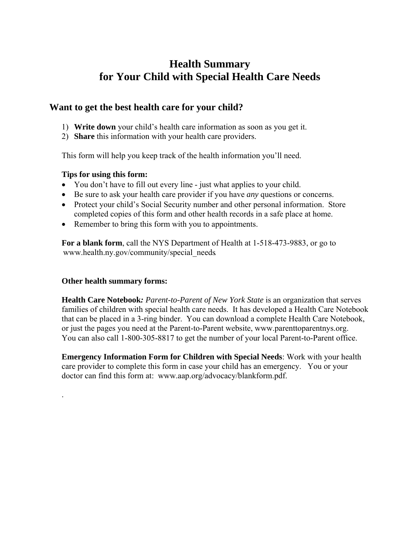# **Health Summary for Your Child with Special Health Care Needs**

## **Want to get the best health care for your child?**

- 1) **Write down** your child's health care information as soon as you get it.
- 2) **Share** this information with your health care providers.

This form will help you keep track of the health information you'll need.

#### **Tips for using this form:**

- You don't have to fill out every line just what applies to your child.
- Be sure to ask your health care provider if you have *any* questions or concerns.
- Protect your child's Social Security number and other personal information. Store completed copies of this form and other health records in a safe place at home.
- Remember to bring this form with you to appointments.

**For a blank form**, call the NYS Department of Health at 1-518-473-9883, or go to [www.health.ny.gov/community/special\\_need](http://www.health.ny.gov/community/special_needs)s.

### **Other health summary forms:**

.

**Health Care Notebook***: Parent-to-Parent of New York State* is an organization that serves families of children with special health care needs. It has developed a Health Care Notebook that can be placed in a 3-ring binder. You can download a complete Health Care Notebook, or just the pages you need at the Parent-to-Parent website, [www.parenttoparentnys.org](http://www.parenttoparentnys.org/). You can also call 1-800-305-8817 to get the number of your local Parent-to-Parent office.

**Emergency Information Form for Children with Special Needs**: Work with your health care provider to complete this form in case your child has an emergency. You or your doctor can find this form at: [www.aap.org/advocacy/blankform.pdf.](http://www.aap.org/advocacy/blankform.pdf)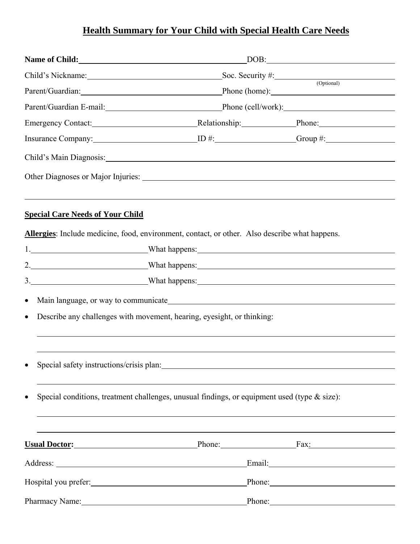# **Health Summary for Your Child with Special Health Care Needs**

| Name of Child:                                                                                                                                                                                                                 | DOB:                                                                                                                                                                                                                           |                                              |  |  |  |
|--------------------------------------------------------------------------------------------------------------------------------------------------------------------------------------------------------------------------------|--------------------------------------------------------------------------------------------------------------------------------------------------------------------------------------------------------------------------------|----------------------------------------------|--|--|--|
|                                                                                                                                                                                                                                | Child's Nickname: Soc. Security #: Soc. Security (Optional)                                                                                                                                                                    |                                              |  |  |  |
|                                                                                                                                                                                                                                |                                                                                                                                                                                                                                | Parent/Guardian: Phone (home): Phone (home): |  |  |  |
|                                                                                                                                                                                                                                |                                                                                                                                                                                                                                |                                              |  |  |  |
|                                                                                                                                                                                                                                |                                                                                                                                                                                                                                |                                              |  |  |  |
|                                                                                                                                                                                                                                |                                                                                                                                                                                                                                |                                              |  |  |  |
| Child's Main Diagnosis:                                                                                                                                                                                                        |                                                                                                                                                                                                                                |                                              |  |  |  |
|                                                                                                                                                                                                                                |                                                                                                                                                                                                                                |                                              |  |  |  |
| <b>Special Care Needs of Your Child</b><br>Allergies: Include medicine, food, environment, contact, or other. Also describe what happens.                                                                                      |                                                                                                                                                                                                                                |                                              |  |  |  |
| 1. What happens: What here is a series of the series of the series of the series of the series of the series of the series of the series of the series of the series of the series of the series of the series of the series o |                                                                                                                                                                                                                                |                                              |  |  |  |
|                                                                                                                                                                                                                                |                                                                                                                                                                                                                                |                                              |  |  |  |
| 3. What happens: What happens:                                                                                                                                                                                                 |                                                                                                                                                                                                                                |                                              |  |  |  |
| $\bullet$                                                                                                                                                                                                                      |                                                                                                                                                                                                                                |                                              |  |  |  |
| $\bullet$                                                                                                                                                                                                                      | Describe any challenges with movement, hearing, eyesight, or thinking:                                                                                                                                                         |                                              |  |  |  |
|                                                                                                                                                                                                                                |                                                                                                                                                                                                                                |                                              |  |  |  |
| $\bullet$                                                                                                                                                                                                                      | Special safety instructions/crisis plan: 1999 and 1999 and 1999 and 1999 and 1999 and 1999 and 1999 and 1999 and 1999 and 1999 and 1999 and 1999 and 1999 and 1999 and 1999 and 1999 and 1999 and 1999 and 1999 and 1999 and 1 |                                              |  |  |  |
| $\bullet$                                                                                                                                                                                                                      | Special conditions, treatment challenges, unusual findings, or equipment used (type & size):                                                                                                                                   |                                              |  |  |  |
|                                                                                                                                                                                                                                |                                                                                                                                                                                                                                |                                              |  |  |  |
| <b>Usual Doctor:</b> Phone: Fax: Fax:                                                                                                                                                                                          |                                                                                                                                                                                                                                |                                              |  |  |  |
|                                                                                                                                                                                                                                |                                                                                                                                                                                                                                | Email: Email:                                |  |  |  |
|                                                                                                                                                                                                                                |                                                                                                                                                                                                                                | Phone:                                       |  |  |  |
| Pharmacy Name: 1988 Manual Manual Manual Manual Manual Manual Manual Manual Manual Manual Manual Manual Manual                                                                                                                 |                                                                                                                                                                                                                                | Phone: 2008                                  |  |  |  |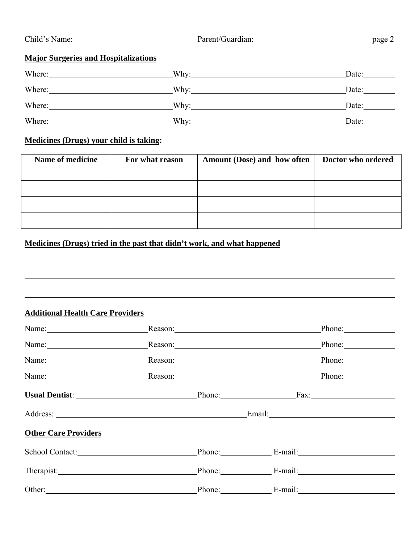| Child's Name: | Parent/Guardian: | page. |
|---------------|------------------|-------|
|               |                  |       |

# **Major Surgeries and Hospitalizations**

| Where:                                                          | Why:<br><u>and the state of the state of the state of the state of the state of the state of the state of the state of the state of the state of the state of the state of the state of the state of the state of the state of the state</u> | Date: |
|-----------------------------------------------------------------|----------------------------------------------------------------------------------------------------------------------------------------------------------------------------------------------------------------------------------------------|-------|
| Where:<br><u> 1980 - Jan Stein Berlin, amerikansk politiker</u> | Why:                                                                                                                                                                                                                                         | Date: |
| Where:                                                          | Why:                                                                                                                                                                                                                                         | Date: |
| Where:                                                          | Why:                                                                                                                                                                                                                                         | Date: |

### **Medicines (Drugs) your child is taking:**

| Name of medicine | For what reason | Amount (Dose) and how often | Doctor who ordered |
|------------------|-----------------|-----------------------------|--------------------|
|                  |                 |                             |                    |
|                  |                 |                             |                    |
|                  |                 |                             |                    |
|                  |                 |                             |                    |

# **Medicines (Drugs) tried in the past that didn't work, and what happened**

#### **Additional Health Care Providers**

 $\overline{a}$ 

 $\overline{a}$ 

|                             |  | Phone:<br>Reason: <u>Constantino</u>                                                                                                                                                                                           |
|-----------------------------|--|--------------------------------------------------------------------------------------------------------------------------------------------------------------------------------------------------------------------------------|
|                             |  | Reason: Phone: Phone:                                                                                                                                                                                                          |
|                             |  | Name: Phone: Phone: Phone: Phone: Phone: Phone: Phone: Phone: Phone: Phone: Phone: Phone: Phone: Phone: Phone: Phone: Phone: Phone: Phone: Phone: Phone: Phone: Phone: Phone: Phone: Phone: Phone: Phone: Phone: Phone: Phone: |
|                             |  | Name: Reason: Reason: Phone: Phone:                                                                                                                                                                                            |
|                             |  | Usual Dentist: Phone: Fax:                                                                                                                                                                                                     |
|                             |  |                                                                                                                                                                                                                                |
| <b>Other Care Providers</b> |  |                                                                                                                                                                                                                                |
| School Contact:             |  | Phone: E-mail:                                                                                                                                                                                                                 |
|                             |  | Phone: E-mail:                                                                                                                                                                                                                 |
|                             |  | Phone: E-mail:                                                                                                                                                                                                                 |